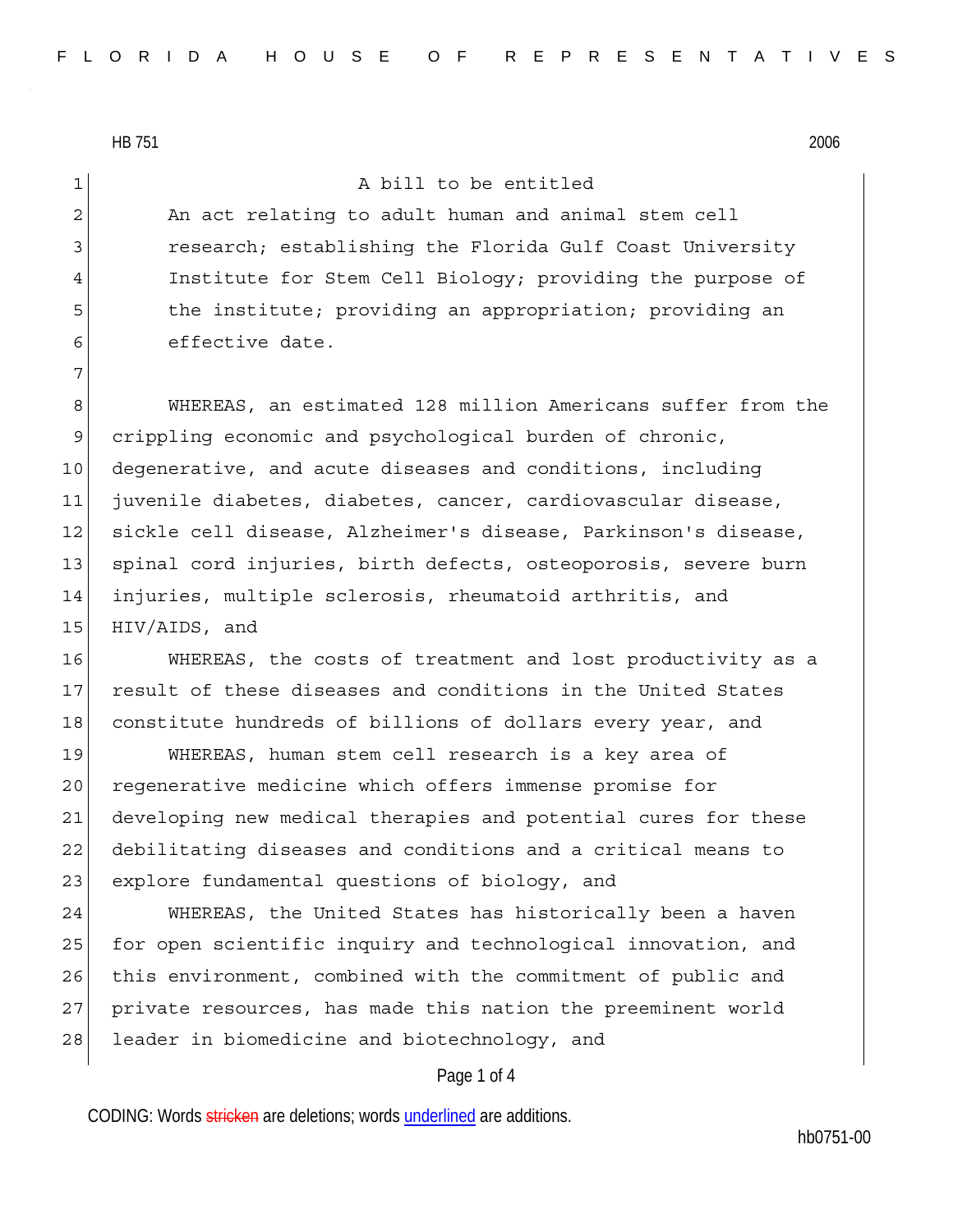7

1 a bill to be entitled

2 An act relating to adult human and animal stem cell 3 research; establishing the Florida Gulf Coast University 4 Institute for Stem Cell Biology; providing the purpose of 5 5 the institute; providing an appropriation; providing an 6 effective date.

8 WHEREAS, an estimated 128 million Americans suffer from the 9 crippling economic and psychological burden of chronic, 10 degenerative, and acute diseases and conditions, including 11 juvenile diabetes, diabetes, cancer, cardiovascular disease, 12 sickle cell disease, Alzheimer's disease, Parkinson's disease, 13 spinal cord injuries, birth defects, osteoporosis, severe burn 14 injuries, multiple sclerosis, rheumatoid arthritis, and 15 HIV/AIDS, and

16 WHEREAS, the costs of treatment and lost productivity as a 17 result of these diseases and conditions in the United States 18 constitute hundreds of billions of dollars every year, and

19 WHEREAS, human stem cell research is a key area of 20 regenerative medicine which offers immense promise for 21 developing new medical therapies and potential cures for these 22 debilitating diseases and conditions and a critical means to 23 explore fundamental questions of biology, and

24 WHEREAS, the United States has historically been a haven 25 for open scientific inquiry and technological innovation, and 26 this environment, combined with the commitment of public and 27 private resources, has made this nation the preeminent world 28 leader in biomedicine and biotechnology, and

## Page 1 of 4

CODING: Words stricken are deletions; words underlined are additions.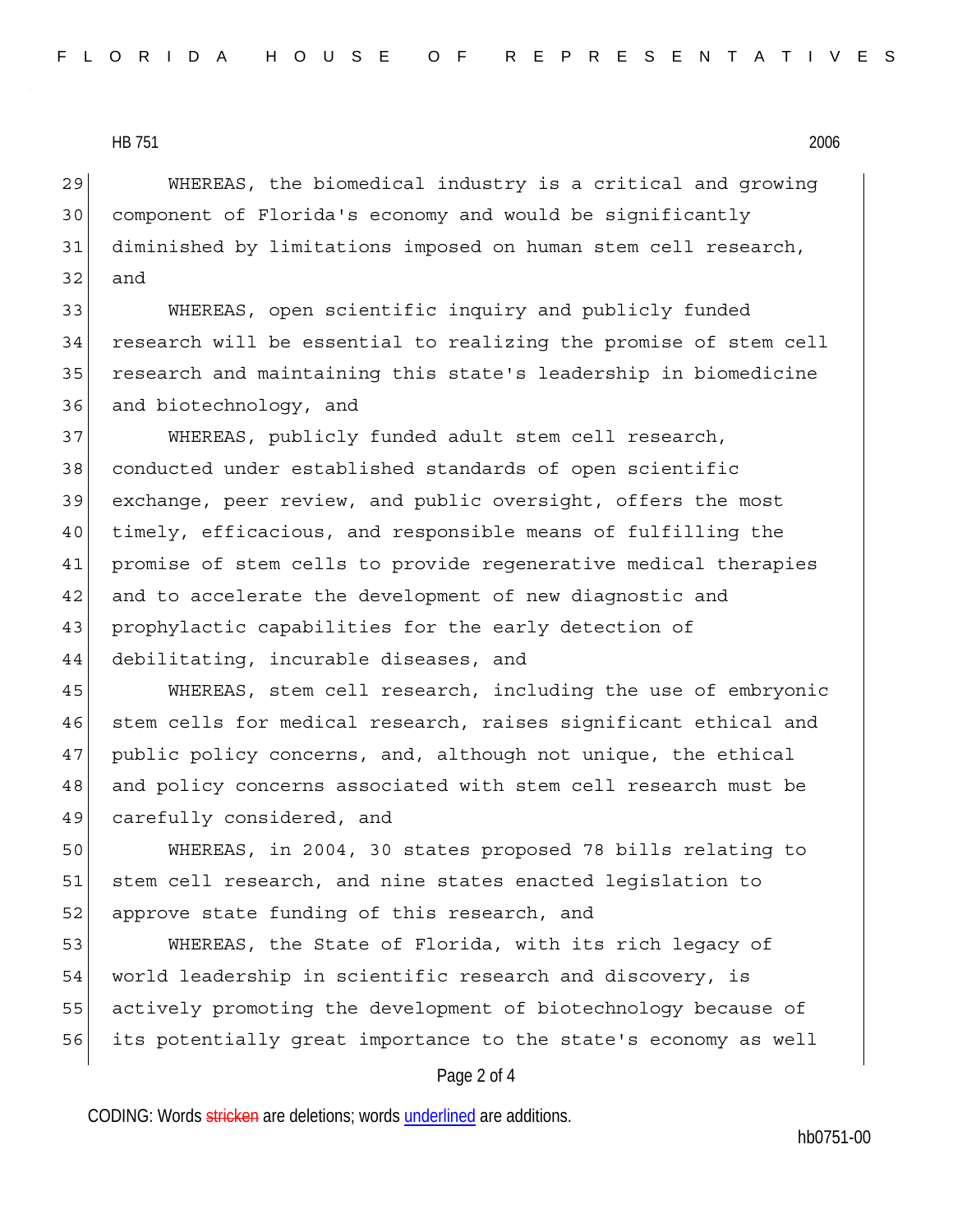29 WHEREAS, the biomedical industry is a critical and growing 30 component of Florida's economy and would be significantly 31 diminished by limitations imposed on human stem cell research, 32 and

33 WHEREAS, open scientific inquiry and publicly funded 34 research will be essential to realizing the promise of stem cell 35 research and maintaining this state's leadership in biomedicine 36 and biotechnology, and

37 WHEREAS, publicly funded adult stem cell research, 38 conducted under established standards of open scientific 39 exchange, peer review, and public oversight, offers the most 40 timely, efficacious, and responsible means of fulfilling the 41 promise of stem cells to provide regenerative medical therapies 42 and to accelerate the development of new diagnostic and 43 prophylactic capabilities for the early detection of 44 debilitating, incurable diseases, and

45 WHEREAS, stem cell research, including the use of embryonic 46 stem cells for medical research, raises significant ethical and 47 public policy concerns, and, although not unique, the ethical 48 and policy concerns associated with stem cell research must be 49 carefully considered, and

50 WHEREAS, in 2004, 30 states proposed 78 bills relating to 51 stem cell research, and nine states enacted legislation to 52 approve state funding of this research, and

53 WHEREAS, the State of Florida, with its rich legacy of 54 world leadership in scientific research and discovery, is 55 actively promoting the development of biotechnology because of 56 its potentially great importance to the state's economy as well

## Page 2 of 4

CODING: Words stricken are deletions; words underlined are additions.

hb0751-00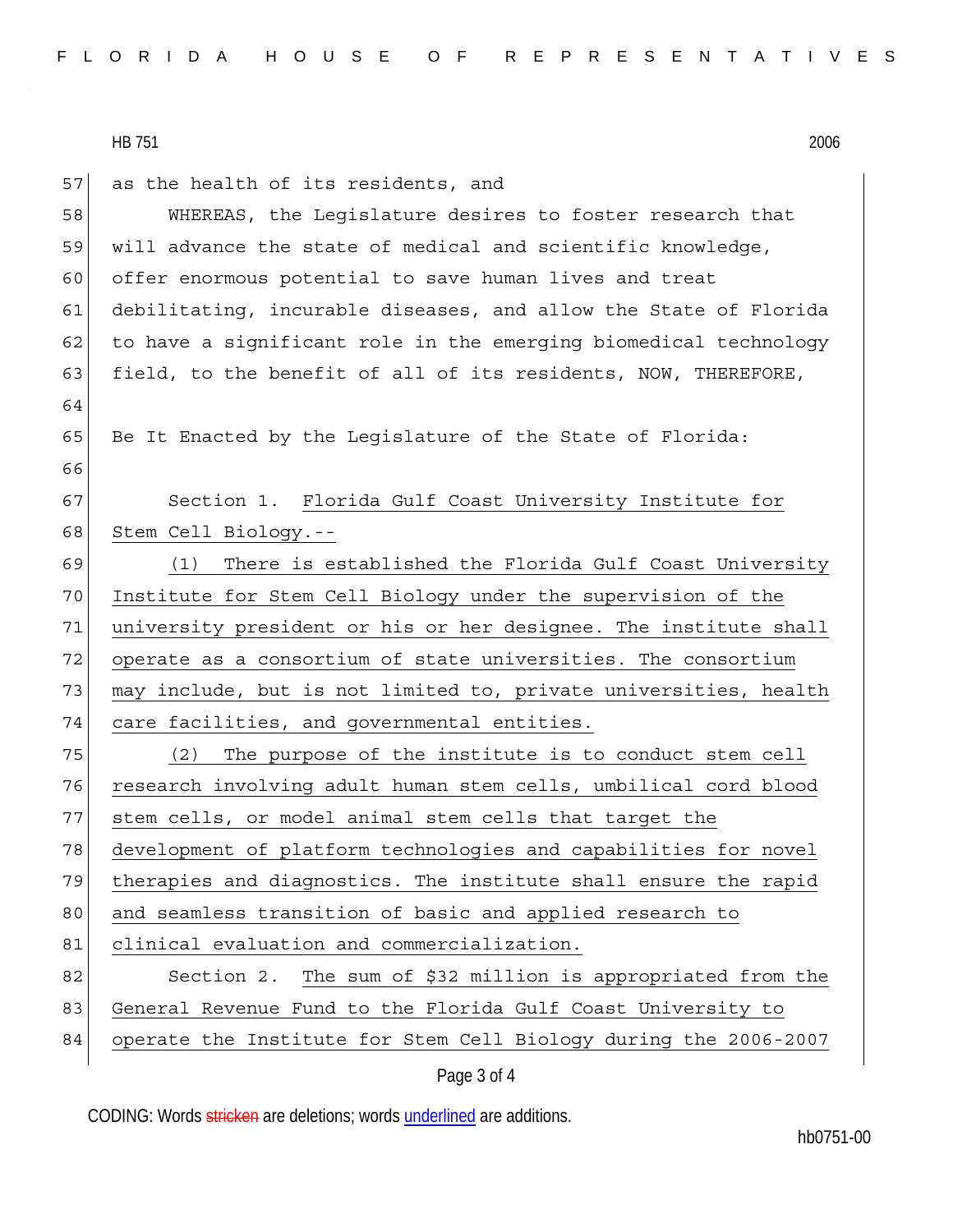57 as the health of its residents, and 58 WHEREAS, the Legislature desires to foster research that 59 will advance the state of medical and scientific knowledge, 60 offer enormous potential to save human lives and treat 61 debilitating, incurable diseases, and allow the State of Florida 62 to have a significant role in the emerging biomedical technology 63 field, to the benefit of all of its residents, NOW, THEREFORE, 64 65 Be It Enacted by the Leqislature of the State of Florida: 66 67 Section 1. Florida Gulf Coast University Institute for 68 Stem Cell Biology.-- 69 (1) There is established the Florida Gulf Coast University 70 Institute for Stem Cell Biology under the supervision of the 71 university president or his or her designee. The institute shall 72 operate as a consortium of state universities. The consortium 73 may include, but is not limited to, private universities, health 74 care facilities, and governmental entities. 75 (2) The purpose of the institute is to conduct stem cell 76 research involving adult human stem cells, umbilical cord blood 77 stem cells, or model animal stem cells that target the 78 development of platform technologies and capabilities for novel 79 therapies and diagnostics. The institute shall ensure the rapid 80 and seamless transition of basic and applied research to 81 clinical evaluation and commercialization. 82 Section 2. The sum of \$32 million is appropriated from the 83 General Revenue Fund to the Florida Gulf Coast University to 84 operate the Institute for Stem Cell Biology during the 2006-2007

CODING: Words stricken are deletions; words underlined are additions.